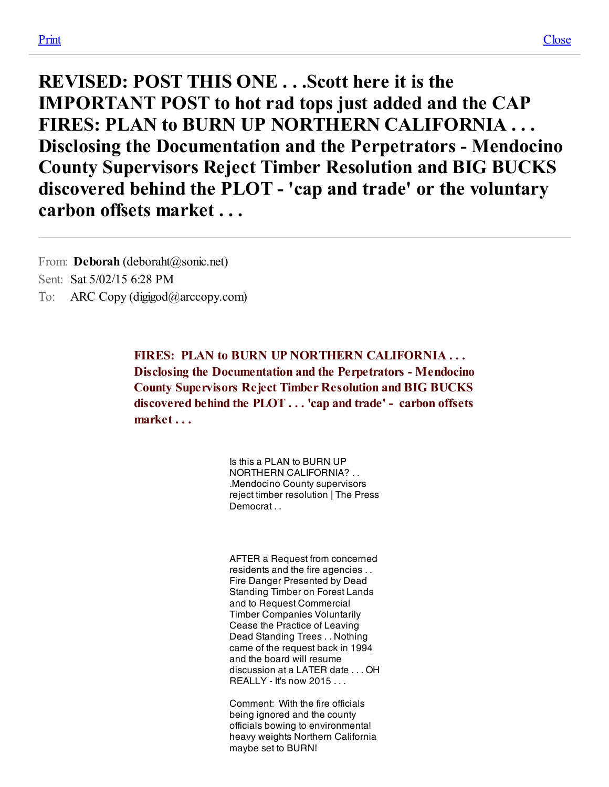FIRES: PLAN to BURN UP NORTHERN CALIFORNIA ... Disclosing the Documentation and the Perpetrators - Mendocino County Supervisors Reject Timber Resolution and BIG BUCKS discovered behind the PLOT . . . 'cap and trade' - carbon offsets market . . .

> Is this a PLAN to BURN UP NORTHERN CALIFORNIA? . . .Mendocino County supervisors reject timber resolution | The Press **Democrat**

> AFTER a Request from concerned residents and the fire agencies . . Fire Danger Presented by Dead Standing Timber on Forest Lands and to Request Commercial Timber Companies Voluntarily Cease the Practice of Leaving Dead Standing Trees . . Nothing came of the request back in 1994 and the board will resume discussion at a LATER date ... OH  $RFAI$  I Y - It's now 2015

Comment: With the fire officials being ignored and the county officials bowing to environmental heavy weights Northern California maybe set to BURN!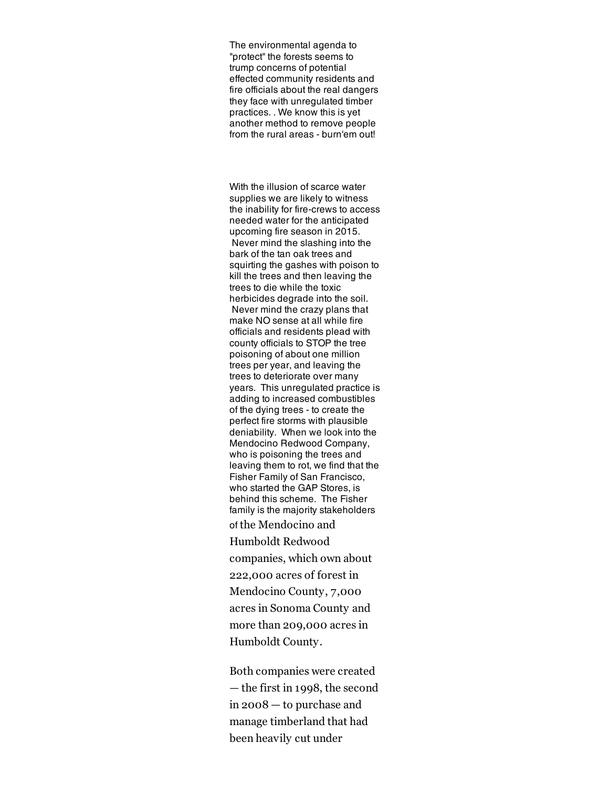The environmental agenda to "protect" the forests seems to trump concerns of potential effected community residents and fire officials about the real dangers they face with unregulated timber practices. . We know this is yet another method to remove people from the rural areas - burn'em out!

With the illusion of scarce water supplies we are likely to witness the inability for fire-crews to access needed water for the anticipated upcoming fire season in 2015. Never mind the slashing into the bark of the tan oak trees and squirting the gashes with poison to kill the trees and then leaving the trees to die while the toxic herbicides degrade into the soil. Never mind the crazy plans that make NO sense at all while fire officials and residents plead with county officials to STOP the tree poisoning of about one million trees per year, and leaving the trees to deteriorate over many years. This unregulated practice is adding to increased combustibles of the dying trees - to create the perfect fire storms with plausible deniability. When we look into the Mendocino Redwood Company, who is poisoning the trees and leaving them to rot, we find that the Fisher Family of San Francisco, who started the GAP Stores, is behind this scheme. The Fisher family is the majority stakeholders of the Mendocino and Humboldt Redwood companies, which own about 222,000 acres of forest in Mendocino County, 7,000 acres in Sonoma County and more than 209,000 acres in

Humboldt County. Both companies were created

— the first in 1998, the second in 2008 — to purchase and manage timberland that had been heavily cut under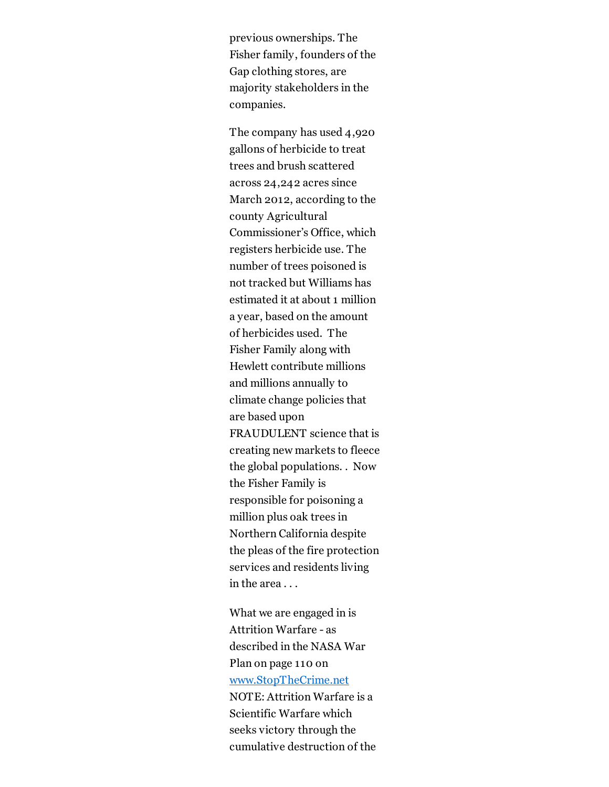previous ownerships. The Fisher family, founders of the Gap clothing stores, are majority stakeholders in the companies.

The company has used 4,920 gallons of herbicide to treat trees and brush scattered across 24,242 acres since March 2012, according to the county Agricultural Commissioner's Office, which registers herbicide use. The number of trees poisoned is not tracked but Williams has estimated it at about 1 million a year, based on the amount of herbicides used. The Fisher Family along with Hewlett contribute millions and millions annually to climate change policies that are based upon FRAUDULENT science that is creating new markets to fleece the global populations. . Now the Fisher Family is responsible for poisoning a million plus oak trees in Northern California despite the pleas of the fire protection services and residents living in the area . . .

What we are engaged in is Attrition Warfare - as described in the NASA War Plan on page 110 on [www.StopTheCrime.net](http://www.stopthecrime.net/) NOTE: Attrition Warfare is a Scientific Warfare which seeks victory through the cumulative destruction of the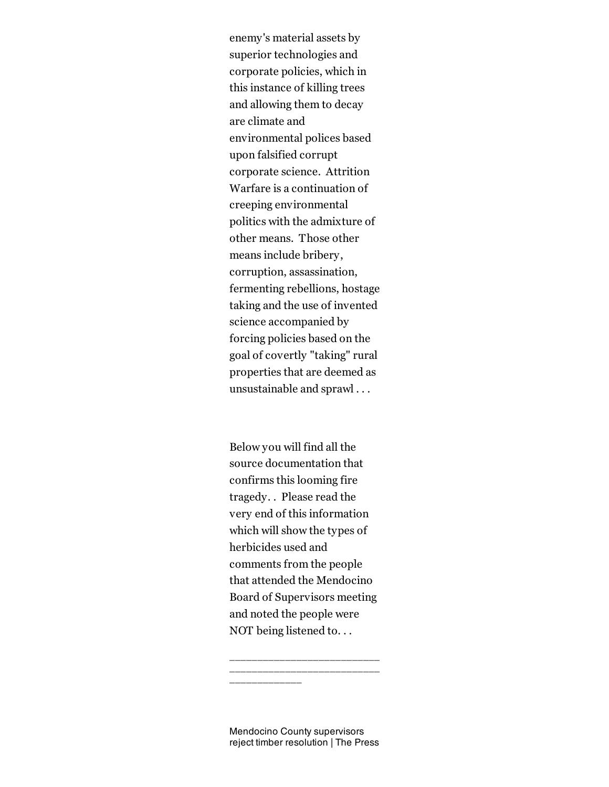enemy's material assets by superior technologies and corporate policies, which in this instance of killing trees and allowing them to decay are climate and environmental polices based upon falsified corrupt corporate science. Attrition Warfare is a continuation of creeping environmental politics with the admixture of other means. Those other means include bribery, corruption, assassination, fermenting rebellions, hostage taking and the use of invented science accompanied by forcing policies based on the goal of covertly "taking" rural properties that are deemed as unsustainable and sprawl . . .

Below you will find all the source documentation that confirms this looming fire tragedy. . Please read the very end of this information which will show the types of herbicides used and comments from the people that attended the Mendocino Board of Supervisors meeting and noted the people were NOT being listened to. . .

Mendocino County supervisors reject timber resolution | The Press

\_\_\_\_\_\_\_\_\_\_\_\_\_\_\_\_\_\_\_\_\_\_\_\_\_\_\_ \_\_\_\_\_\_\_\_\_\_\_\_\_\_\_\_\_\_\_\_\_\_\_\_\_\_\_

\_\_\_\_\_\_\_\_\_\_\_\_\_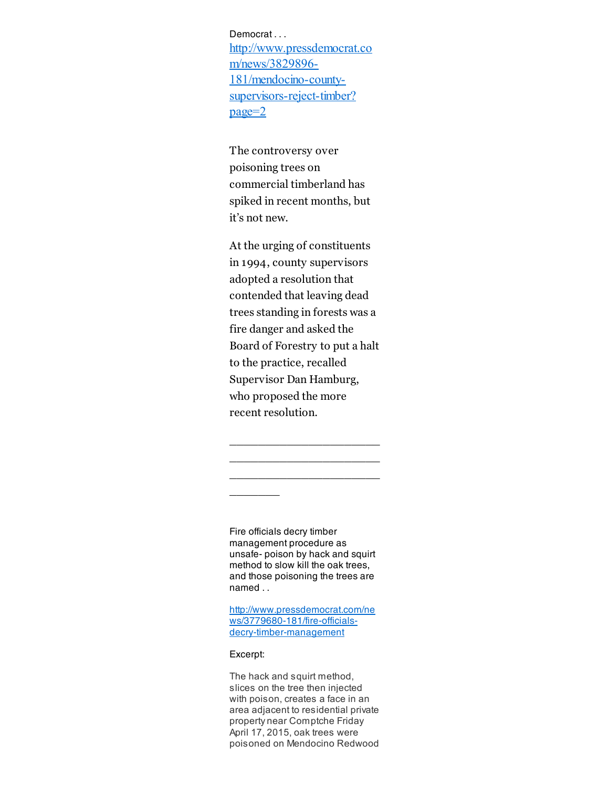Democrat . . . [http://www.pressdemocrat.co](http://www.pressdemocrat.com/news/3829896-181/mendocino-county-supervisors-reject-timber?page=2) m/news/3829896 181/mendocino-countysupervisors-reject-timber? page=2

The controversy over poisoning trees on commercial timberland has spiked in recent months, but it's not new.

At the urging of constituents in 1994, county supervisors adopted a resolution that contended that leaving dead trees standing in forests was a fire danger and asked the Board of Forestry to put a halt to the practice, recalled Supervisor Dan Hamburg, who proposed the more recent resolution.

\_\_\_\_\_\_\_\_\_\_\_\_\_\_\_\_\_\_\_\_\_ \_\_\_\_\_\_\_\_\_\_\_\_\_\_\_\_\_\_\_\_\_ \_\_\_\_\_\_\_\_\_\_\_\_\_\_\_\_\_\_\_\_\_

Fire officials decry timber management procedure as unsafe- poison by hack and squirt method to slow kill the oak trees, and those poisoning the trees are named . .

[http://www.pressdemocrat.com/ne](http://www.pressdemocrat.com/news/3779680-181/fire-officials-decry-timber-management) ws/3779680-181/fire-officialsdecry-timber-management

#### Excerpt:

 $\overline{\phantom{a}}$   $\overline{\phantom{a}}$ 

The hack and squirt method, slices on the tree then injected with poison, creates a face in an area adjacent to residential private property near Comptche Friday April 17, 2015, oak trees were poisoned on Mendocino Redwood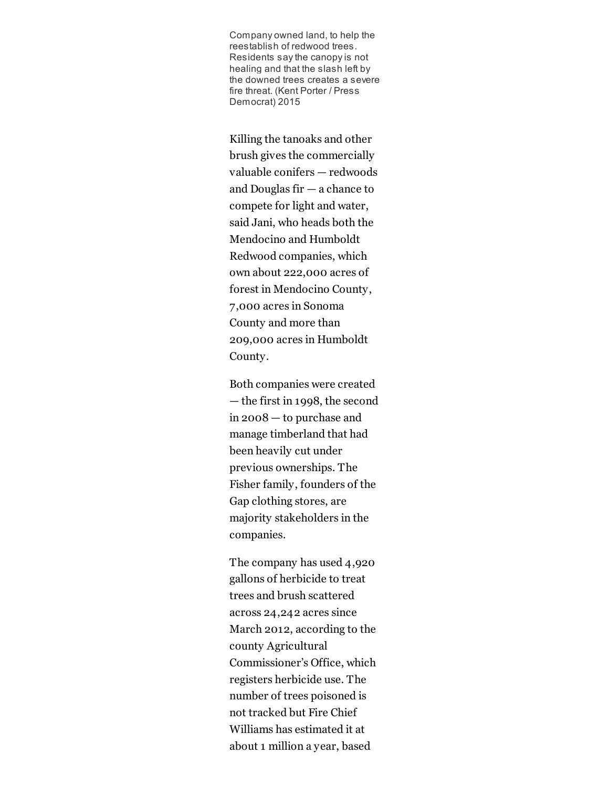Company owned land, to help the reestablish of redwood trees. Residents say the canopy is not healing and that the slash left by the downed trees creates a severe fire threat. (Kent Porter / Press Democrat) 2015

Killing the tanoaks and other brush gives the commercially valuable conifers — redwoods and Douglas fir — a chance to compete for light and water, said Jani, who heads both the Mendocino and Humboldt Redwood companies, which own about 222,000 acres of forest in Mendocino County, 7,000 acres in Sonoma County and more than 209,000 acres in Humboldt County.

Both companies were created — the first in 1998, the second in 2008 — to purchase and manage timberland that had been heavily cut under previous ownerships. The Fisher family, founders of the Gap clothing stores, are majority stakeholders in the companies.

The company has used 4,920 gallons of herbicide to treat trees and brush scattered across 24,242 acres since March 2012, according to the county Agricultural Commissioner's Office, which registers herbicide use. The number of trees poisoned is not tracked but Fire Chief Williams has estimated it at about 1 million a year, based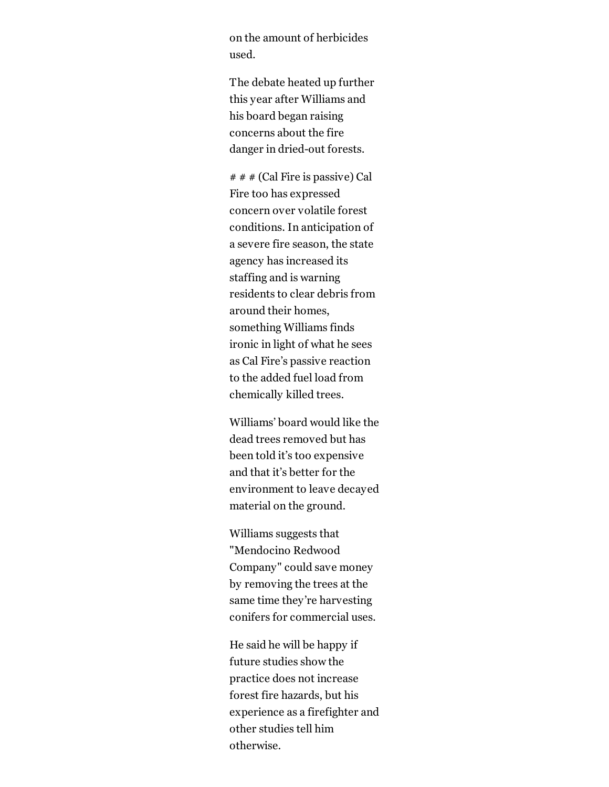on the amount of herbicides used.

The debate heated up further this year after Williams and his board began raising concerns about the fire danger in dried-out forests.

 $# # # (Cal Fire is passive) Cal$ Fire too has expressed concern over volatile forest conditions. In anticipation of a severe fire season, the state agency has increased its staffing and is warning residents to clear debris from around their homes, something Williams finds ironic in light of what he sees as Cal Fire's passive reaction to the added fuel load from chemically killed trees.

Williams' board would like the dead trees removed but has been told it's too expensive and that it's better for the environment to leave decayed material on the ground.

Williams suggests that "Mendocino Redwood Company" could save money by removing the trees at the same time they're harvesting conifers for commercial uses.

He said he will be happy if future studies show the practice does not increase forest fire hazards, but his experience as a firefighter and other studies tell him otherwise.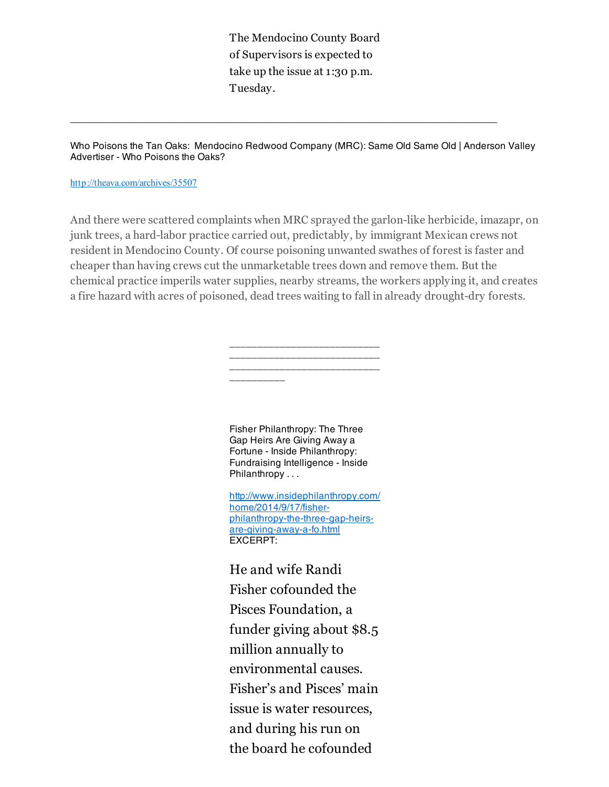The Mendocino County Board of Supervisors is expected to take up the issue at 1:30 p.m. Tuesday.

Who Poisons the Tan Oaks: Mendocino Redwood Company (MRC): Same Old Same Old | Anderson Valley Advertiser - Who Poisons the Oaks?

#### <http://theava.com/archives/35507>

And there were scattered complaints when MRC sprayed the garlon-like herbicide, imazapr, on junk trees, a hard-labor practice carried out, predictably, by immigrant Mexican crews not resident in Mendocino County. Of course poisoning unwanted swathes of forest is faster and cheaper than having crews cut the unmarketable trees down and remove them. But the chemical practice imperils water supplies, nearby streams, the workers applying it, and creates a fire hazard with acres of poisoned, dead trees waiting to fall in already drought-dry forests.

> \_\_\_\_\_\_\_\_\_\_\_\_\_\_\_\_\_\_\_\_\_\_\_\_\_\_\_ \_\_\_\_\_\_\_\_\_\_\_\_\_\_\_\_\_\_\_\_\_\_\_\_\_\_\_ \_\_\_\_\_\_\_\_\_\_\_\_\_\_\_\_\_\_\_\_\_\_\_\_\_\_\_ \_\_\_\_\_\_\_\_\_\_

Fisher Philanthropy: The Three Gap Heirs Are Giving Away a Fortune - Inside Philanthropy: Fundraising Intelligence - Inside Philanthropy . . .

[http://www.insidephilanthropy.com/](http://www.insidephilanthropy.com/home/2014/9/17/fisher-philanthropy-the-three-gap-heirs-are-giving-away-a-fo.html) home/2014/9/17/fisherphilanthropy-the-three-gap-heirsare-giving-away-a-fo.html EXCERPT:

He and wife Randi Fisher cofounded the Pisces Foundation, a funder giving about \$8.5 million annually to environmental causes. Fisher's and Pisces' main issue is water resources, and during his run on the board he cofounded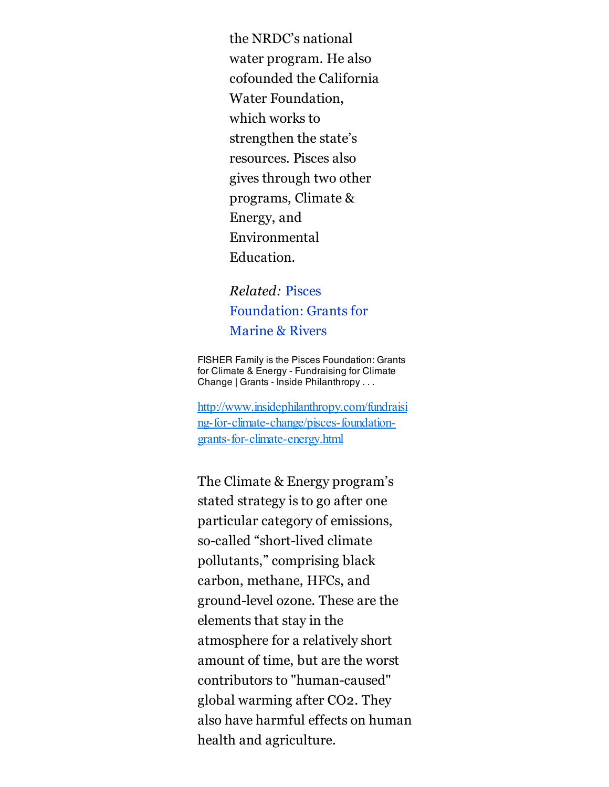the NRDC's national water program. He also cofounded the California Water Foundation, which works to strengthen the state's resources. Pisces also gives through two other programs, Climate & Energy, and Environmental Education.

# Related: Pisces [Foundation:](http://www.insidephilanthropy.com/marine-conservation-grants/pisces-foundation-grants-for-marine-rivers.html) Grants for Marine & Rivers

FISHER Family is the Pisces Foundation: Grants for Climate & Energy - Fundraising for Climate Change | Grants - Inside Philanthropy . . .

[http://www.insidephilanthropy.com/fundraisi](http://www.insidephilanthropy.com/fundraising-for-climate-change/pisces-foundation-grants-for-climate-energy.html) ng-for-climate-change/pisces-foundationgrants-for-climate-energy.html

The Climate & Energy program's stated strategy is to go after one particular category of emissions, so-called "short-lived climate" pollutants," comprising black carbon, methane, HFCs, and ground-level ozone. These are the elements that stay in the atmosphere for a relatively short amount of time, but are the worst contributors to "human-caused" global warming after CO2. They also have harmful effects on human health and agriculture.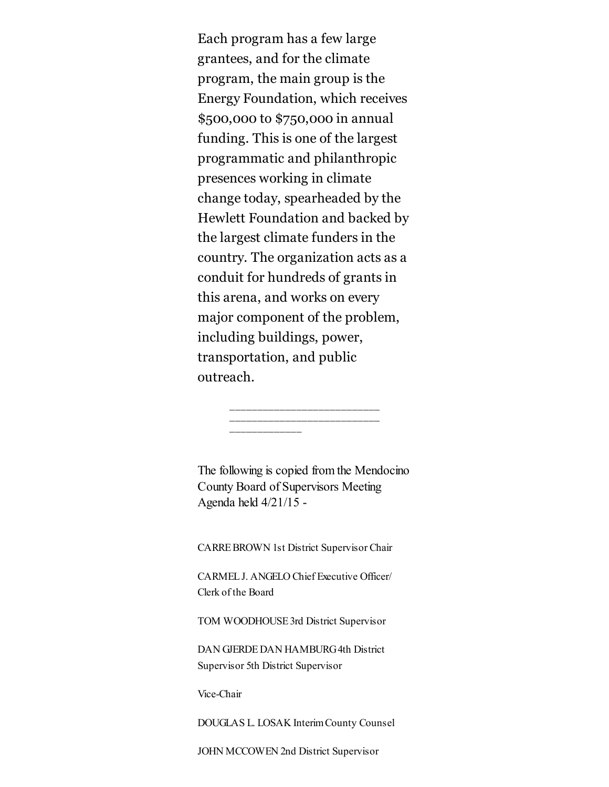Each program has a few large grantees, and for the climate program, the main group is the Energy Foundation, which receives \$500,000 to \$750,000 in annual funding. This is one of the largest programmatic and philanthropic presences working in climate change today, spearheaded by the Hewlett Foundation and backed by the largest climate funders in the country. The organization acts as a conduit for hundreds of grants in this arena, and works on every major component of the problem, including buildings, power, transportation, and public outreach.

The following is copied from the Mendocino County Board of Supervisors Meeting Agenda held 4/21/15

\_\_\_\_\_\_\_\_\_\_\_\_\_\_\_\_\_\_\_\_\_\_\_\_\_\_\_ \_\_\_\_\_\_\_\_\_\_\_\_\_\_\_\_\_\_\_\_\_\_\_\_\_\_\_

\_\_\_\_\_\_\_\_\_\_\_\_\_

CARREBROWN 1st District Supervisor Chair

CARMELJ. ANGELO Chief Executive Officer/ Clerk of the Board

TOM WOODHOUSE3rd District Supervisor

DAN GJERDE DAN HAMBURG4th District Supervisor 5th District Supervisor

Vice-Chair

DOUGLAS L. LOSAK InterimCounty Counsel

JOHN MCCOWEN 2nd District Supervisor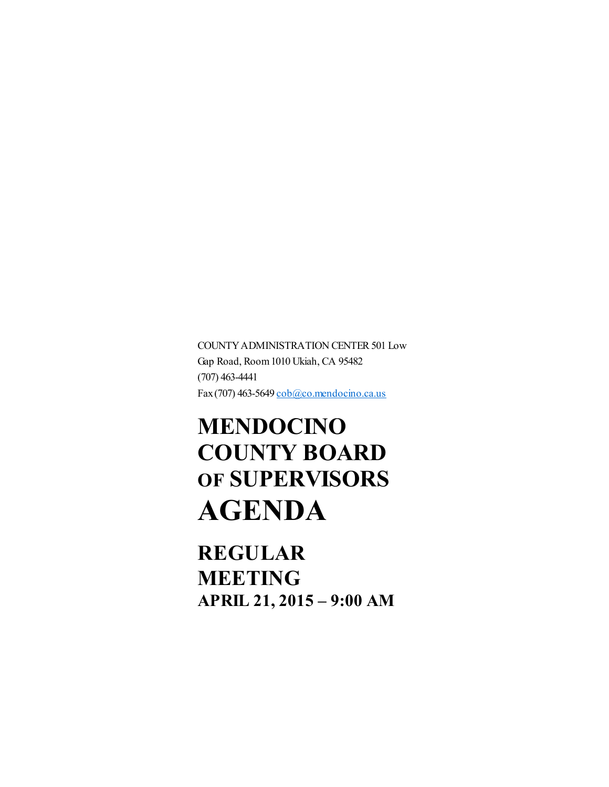COUNTY ADMINISTRATION CENTER 501 Low Gap Road, Room1010 Ukiah, CA 95482  $(707)$  463-4441 Fax(707) 463-5649 [cob@co.mendocino.ca.us](mailto:cob@co.mendocino.ca.us)

# MENDOCINO COUNTY BOARD OF SUPERVISORS AGENDA

REGULAR MEETING APRIL 21, 2015 – 9:00 AM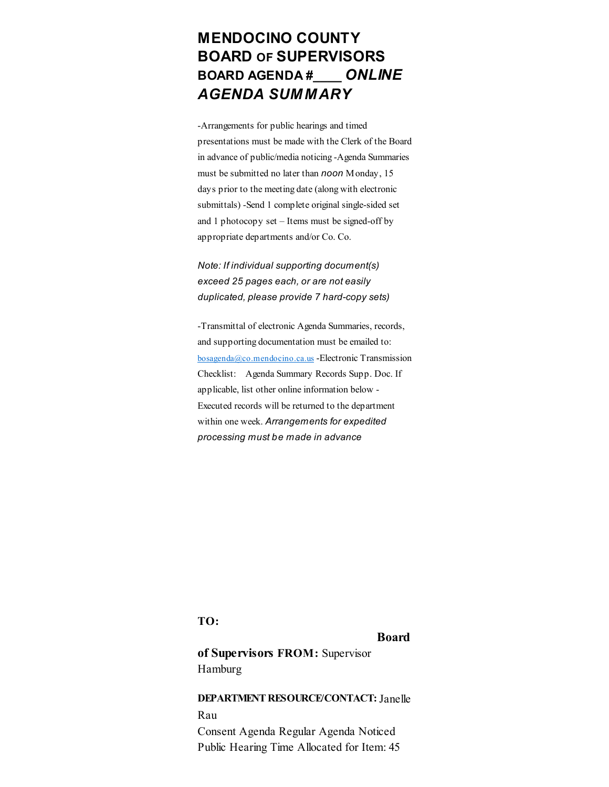# MENDOCINO COUNTY BOARD OF SUPERVISORS BOARD AGENDA #\_\_\_\_ *ONLINE AGENDA SUMMARY*

Arrangements for public hearings and timed presentations must be made with the Clerk of the Board in advance of public/media noticing Agenda Summaries must be submitted no later than *noon* Monday, 15 days prior to the meeting date (along with electronic submittals) -Send 1 complete original single-sided set and 1 photocopy set  $-$  Items must be signed-off by appropriate departments and/or Co. Co.

### *Note: If individual supporting document(s) exceed 25 pages each, or are not easily duplicated, please provide* 7 *hard-copy* sets)

Transmittal of electronic Agenda Summaries, records, and supporting documentation must be emailed to:  $bosa$ genda@co.mendocino.ca.us - Electronic Transmission Checklist: Agenda Summary Records Supp. Doc. If applicable, list other online information below Executed records will be returned to the department within one week. *Arrangements for expedited processing must be made in advance*

TO:

#### Board

of Supervisors FROM: Supervisor Hamburg

### DEPARTMENT RESOURCE/CONTACT:Janelle Rau

Consent Agenda Regular Agenda Noticed Public Hearing Time Allocated for Item: 45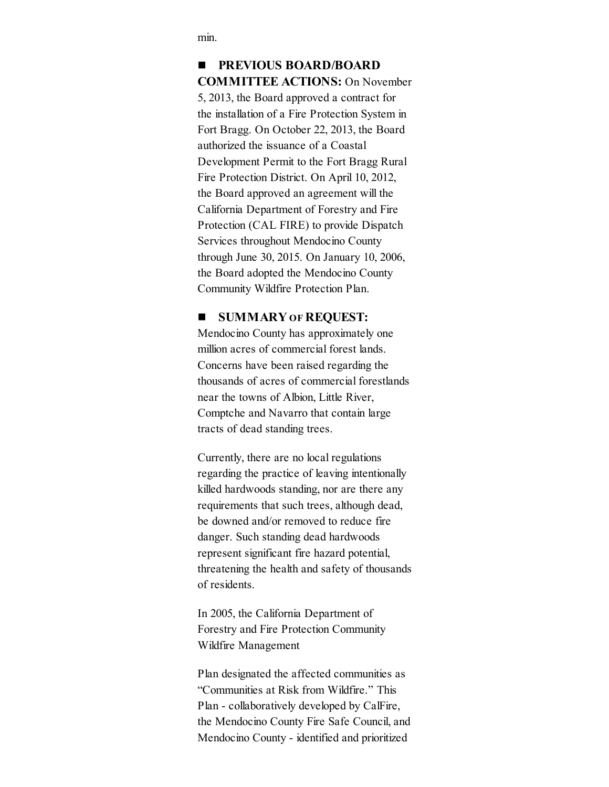min.

## **PREVIOUS BOARD/BOARD** COMMITTEE ACTIONS: On November 5, 2013, the Board approved a contract for the installation of a Fire Protection System in Fort Bragg. On October 22, 2013, the Board authorized the issuance of a Coastal Development Permit to the Fort Bragg Rural Fire Protection District. On April 10, 2012, the Board approved an agreement will the California Department of Forestry and Fire Protection (CAL FIRE) to provide Dispatch Services throughout Mendocino County through June 30, 2015. On January 10, 2006, the Board adopted the Mendocino County Community Wildfire Protection Plan.

### **SUMMARY OF REQUEST:**

Mendocino County has approximately one million acres of commercial forest lands. Concerns have been raised regarding the thousands of acres of commercial forestlands near the towns of Albion, Little River, Comptche and Navarro that contain large tracts of dead standing trees.

Currently, there are no local regulations regarding the practice of leaving intentionally killed hardwoods standing, nor are there any requirements that such trees, although dead, be downed and/or removed to reduce fire danger. Such standing dead hardwoods represent significant fire hazard potential, threatening the health and safety of thousands of residents.

In 2005, the California Department of Forestry and Fire Protection Community Wildfire Management

Plan designated the affected communities as "Communities at Risk from Wildfire." This Plan - collaboratively developed by CalFire, the Mendocino County Fire Safe Council, and Mendocino County - identified and prioritized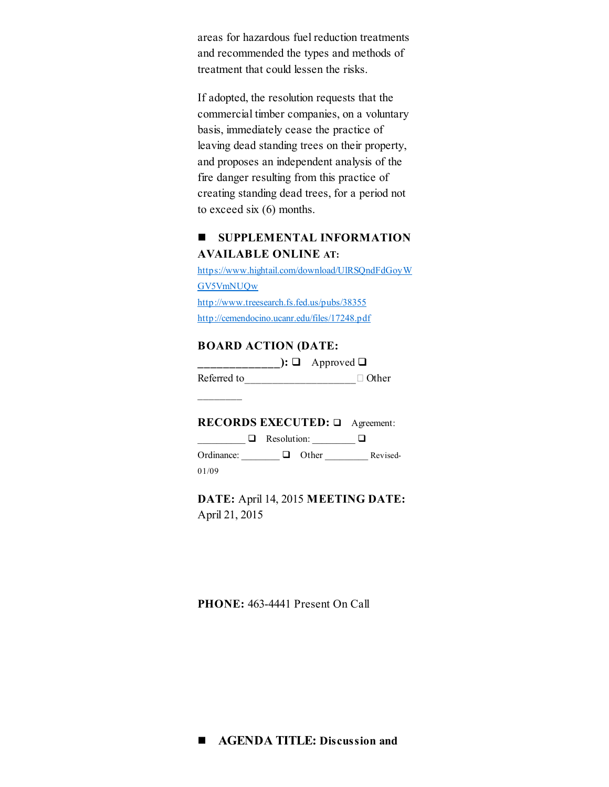areas for hazardous fuel reduction treatments and recommended the types and methods of treatment that could lessen the risks.

If adopted, the resolution requests that the commercial timber companies, on a voluntary basis, immediately cease the practice of leaving dead standing trees on their property, and proposes an independent analysis of the fire danger resulting from this practice of creating standing dead trees, for a period not to exceed six (6) months.

### **SUPPLEMENTAL INFORMATION** AVAILABLE ONLINE AT:

[https://www.hightail.com/download/UlRSQndFdGoyW](https://www.hightail.com/download/UlRSQndFdGoyWGV5VmNUQw) GV5VmNUQw <http://www.treesearch.fs.fed.us/pubs/38355> <http://cemendocino.ucanr.edu/files/17248.pdf>

### BOARD ACTION (DATE:

 $\Box$  Approved  $\Box$  Approved  $\Box$ Referred to\_\_\_\_\_\_\_\_\_\_\_\_\_\_\_\_\_\_\_\_\_\_ Other

RECORDS EXECUTED: □ Agreement:

 $\Box$  Resolution:  $\Box$ Ordinance:  $\Box$  Other Revised-01/09

DATE: April 14, 2015 MEETING DATE: April 21, 2015

PHONE: 463-4441 Present On Call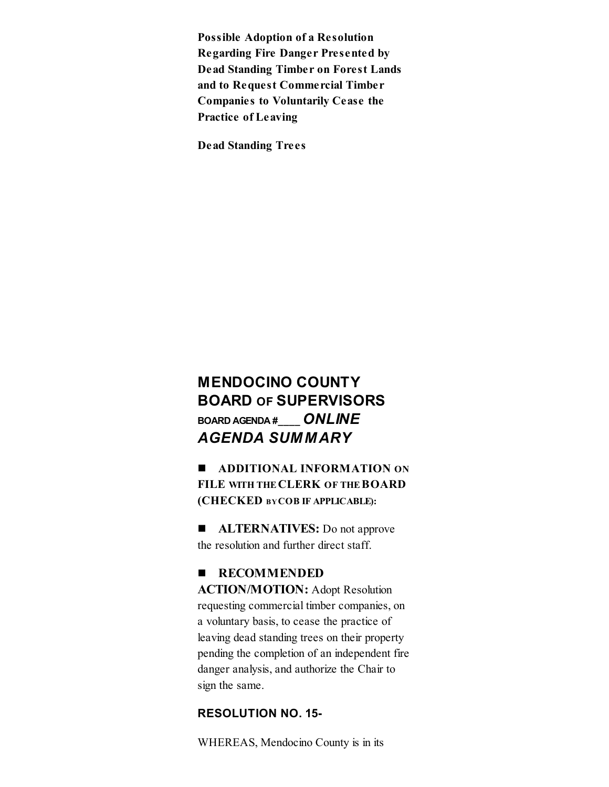Possible Adoption of a Resolution Regarding Fire Danger Presented by Dead Standing Timber on Forest Lands and to Request Commercial Timber Companies to Voluntarily Cease the Practice of Leaving

Dead Standing Trees

# MENDOCINO COUNTY BOARD OF SUPERVISORS BOARD AGENDA #\_\_\_\_ *ONLINE AGENDA SUMMARY*

**ADDITIONAL INFORMATION ON** FILE WITH THE CLERK OF THE BOARD (CHECKED BYCOB IF APPLICABLE):

**ALTERNATIVES:** Do not approve the resolution and further direct staff.

### **RECOMMENDED**

ACTION/MOTION: Adopt Resolution requesting commercial timber companies, on a voluntary basis, to cease the practice of leaving dead standing trees on their property pending the completion of an independent fire danger analysis, and authorize the Chair to sign the same.

### RESOLUTION NO. 15

WHEREAS, Mendocino County is in its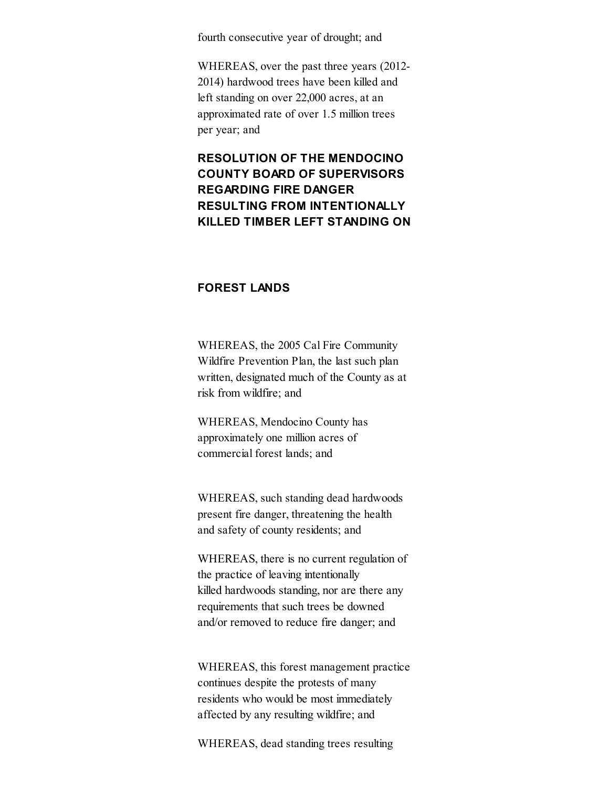fourth consecutive year of drought; and

WHEREAS, over the past three years (2012 2014) hardwood trees have been killed and left standing on over 22,000 acres, at an approximated rate of over 1.5 million trees per year; and

### RESOLUTION OF THE MENDOCINO COUNTY BOARD OF SUPERVISORS REGARDING FIRE DANGER RESULTING FROM INTENTIONALLY KILLED TIMBER LEFT STANDING ON

### FOREST LANDS

WHEREAS, the 2005 Cal Fire Community Wildfire Prevention Plan, the last such plan written, designated much of the County as at risk from wildfire; and

WHEREAS, Mendocino County has approximately one million acres of commercial forest lands; and

WHEREAS, such standing dead hardwoods present fire danger, threatening the health and safety of county residents; and

WHEREAS, there is no current regulation of the practice of leaving intentionally killed hardwoods standing, nor are there any requirements that such trees be downed and/or removed to reduce fire danger; and

WHEREAS, this forest management practice continues despite the protests of many residents who would be most immediately affected by any resulting wildfire; and

WHEREAS, dead standing trees resulting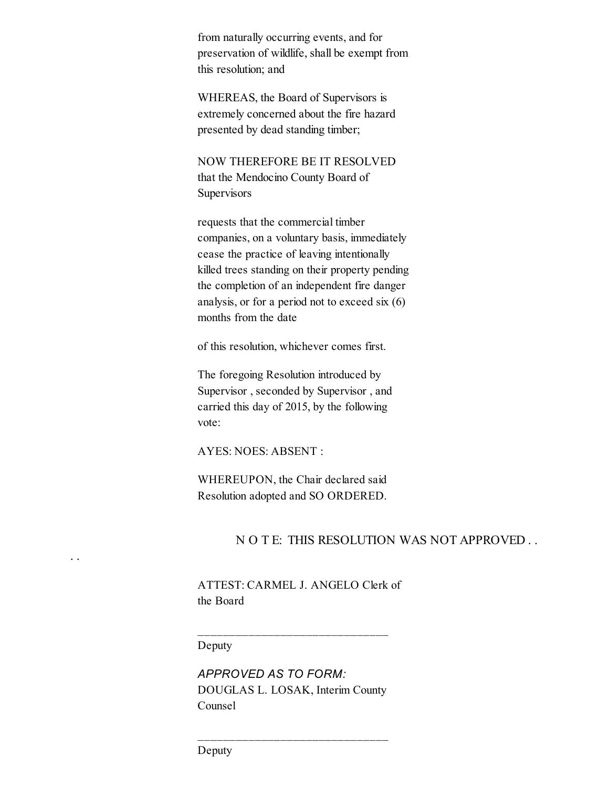from naturally occurring events, and for preservation of wildlife, shall be exempt from this resolution; and

WHEREAS, the Board of Supervisors is extremely concerned about the fire hazard presented by dead standing timber;

NOW THEREFORE BE IT RESOLVED that the Mendocino County Board of **Supervisors** 

requests that the commercial timber companies, on a voluntary basis, immediately cease the practice of leaving intentionally killed trees standing on their property pending the completion of an independent fire danger analysis, or for a period not to exceed six (6) months from the date

of this resolution, whichever comes first.

The foregoing Resolution introduced by Supervisor , seconded by Supervisor , and carried this day of 2015, by the following vote:

AYES: NOES: ABSENT :

WHEREUPON, the Chair declared said Resolution adopted and SO ORDERED.

### N O T E: THIS RESOLUTION WAS NOT APPROVED . .

ATTEST: CARMEL J. ANGELO Clerk of the Board

 $\mathcal{L}_\text{max}$ 

Deputy

. .

*APPROVED AS TO FORM:* DOUGLAS L. LOSAK, Interim County Counsel

 $\mathcal{L}_\text{max}$ 

Deputy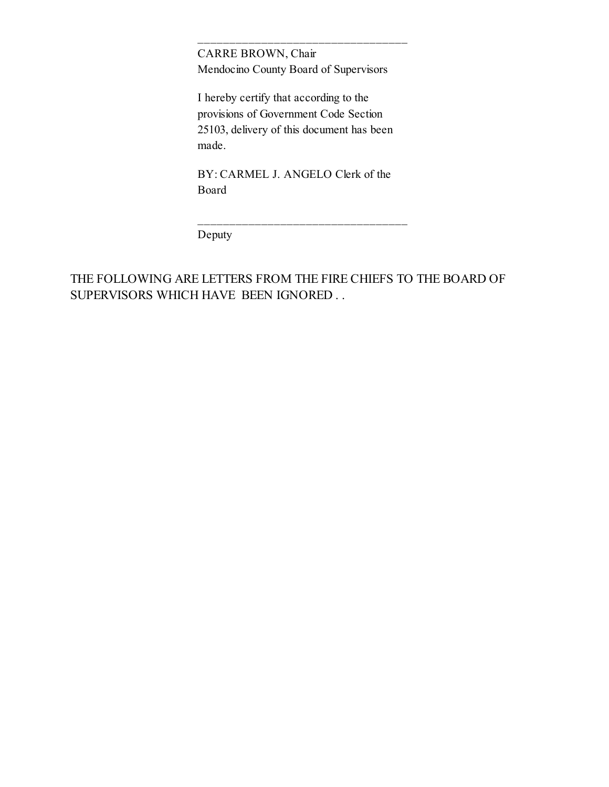CARRE BROWN, Chair Mendocino County Board of Supervisors

 $\mathcal{L}_\text{max}$ 

I hereby certify that according to the provisions of Government Code Section 25103, delivery of this document has been made.

BY: CARMEL J. ANGELO Clerk of the Board

 $\mathcal{L}_\text{max}$ 

Deputy

THE FOLLOWING ARE LETTERS FROM THE FIRE CHIEFS TO THE BOARD OF SUPERVISORS WHICH HAVE BEEN IGNORED . .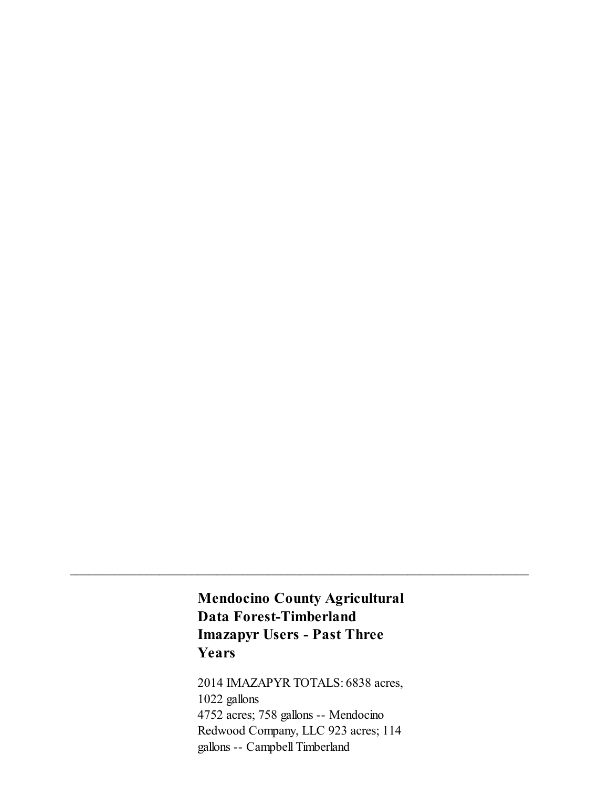# Mendocino County Agricultural Data Forest-Timberland **Imazapyr Users - Past Three** Years

 $\mathcal{L}_\text{max}$  and  $\mathcal{L}_\text{max}$  and  $\mathcal{L}_\text{max}$  and  $\mathcal{L}_\text{max}$  and  $\mathcal{L}_\text{max}$  and  $\mathcal{L}_\text{max}$ 

2014 IMAZAPYR TOTALS: 6838 acres, 1022 gallons 4752 acres; 758 gallons -- Mendocino Redwood Company, LLC 923 acres; 114 gallons -- Campbell Timberland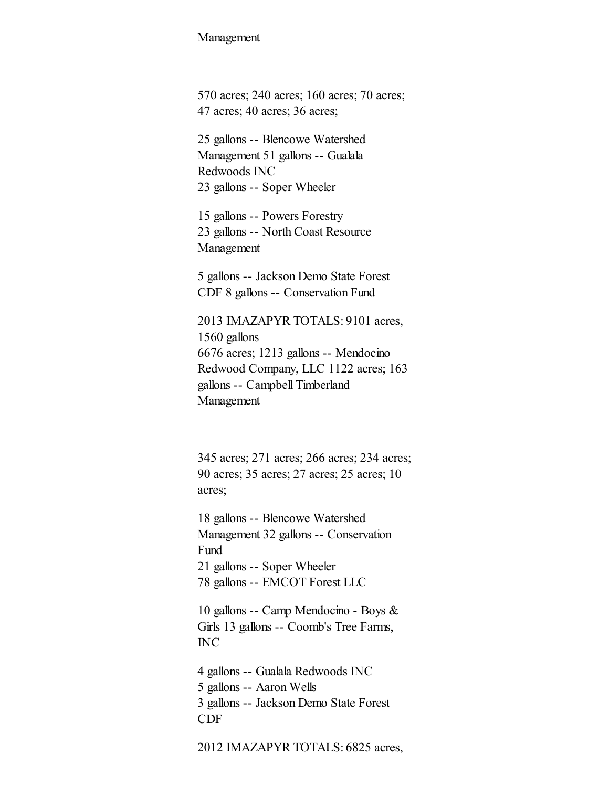#### Management

570 acres; 240 acres; 160 acres; 70 acres; 47 acres; 40 acres; 36 acres;

25 gallons -- Blencowe Watershed Management 51 gallons -- Gualala Redwoods INC 23 gallons -- Soper Wheeler

15 gallons -- Powers Forestry 23 gallons -- North Coast Resource Management

5 gallons -- Jackson Demo State Forest CDF 8 gallons -- Conservation Fund

2013 IMAZAPYR TOTALS: 9101 acres, 1560 gallons 6676 acres; 1213 gallons -- Mendocino Redwood Company, LLC 1122 acres; 163 gallons Campbell Timberland Management

345 acres; 271 acres; 266 acres; 234 acres; 90 acres; 35 acres; 27 acres; 25 acres; 10 acres;

18 gallons -- Blencowe Watershed Management 32 gallons -- Conservation Fund 21 gallons -- Soper Wheeler 78 gallons -- EMCOT Forest LLC

10 gallons -- Camp Mendocino - Boys & Girls 13 gallons -- Coomb's Tree Farms, INC

4 gallons -- Gualala Redwoods INC 5 gallons -- Aaron Wells 3 gallons -- Jackson Demo State Forest CDF

2012 IMAZAPYR TOTALS: 6825 acres,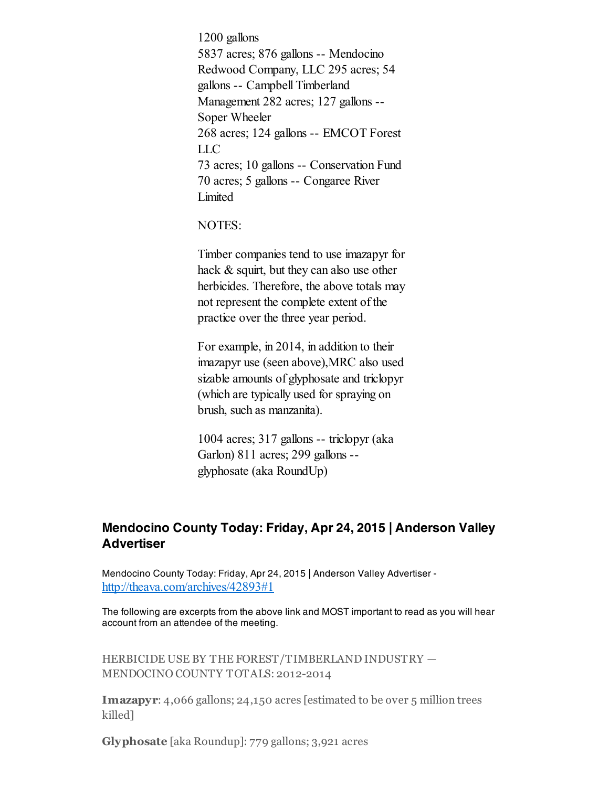1200 gallons 5837 acres; 876 gallons -- Mendocino Redwood Company, LLC 295 acres; 54 gallons Campbell Timberland Management 282 acres; 127 gallons --Soper Wheeler 268 acres; 124 gallons -- EMCOT Forest LLC 73 acres; 10 gallons -- Conservation Fund 70 acres; 5 gallons -- Congaree River Limited

NOTES:

Timber companies tend to use imazapyr for hack & squirt, but they can also use other herbicides. Therefore, the above totals may not represent the complete extent of the practice over the three year period.

For example, in 2014, in addition to their imazapyr use (seen above),MRC also used sizable amounts of glyphosate and triclopyr (which are typically used for spraying on brush, such as manzanita).

 $1004$  acres;  $317$  gallons  $-$  triclopyr (aka Garlon) 811 acres; 299 gallons glyphosate (aka RoundUp)

## Mendocino County Today: Friday, Apr 24, 2015 | Anderson Valley **Advertiser**

Mendocino County Today: Friday, Apr 24, 2015 | Anderson Valley Advertiser <http://theava.com/archives/42893#1>

The following are excerpts from the above link and MOST important to read as you will hear account from an attendee of the meeting.

HERBICIDE USE BY THE FOREST/TIMBERLAND INDUSTRY — MENDOCINO COUNTY TOTALS: 2012-2014

Imazapyr: 4,066 gallons; 24,150 acres [estimated to be over 5 million trees killed]

Glyphosate [aka Roundup]: 779 gallons; 3,921 acres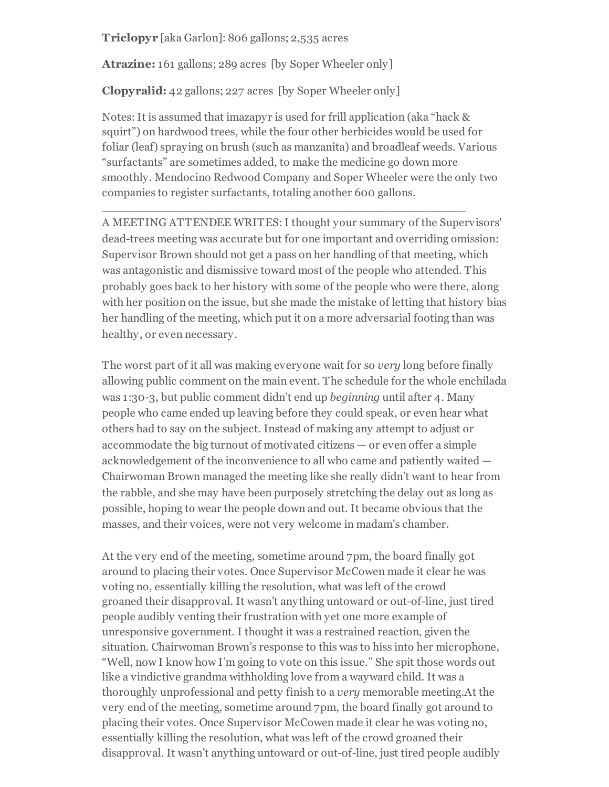Triclopyr [aka Garlon]: 806 gallons; 2,535 acres

Atrazine: 161 gallons; 289 acres [by Soper Wheeler only]

Clopyralid: 42 gallons; 227 acres [by Soper Wheeler only]

Notes: It is assumed that imazapyr is used for frill application (aka "hack & squirt") on hardwood trees, while the four other herbicides would be used for foliar (leaf) spraying on brush (such as manzanita) and broadleaf weeds. Various "surfactants" are sometimes added, to make the medicine go down more smoothly. Mendocino Redwood Company and Soper Wheeler were the only two companies to register surfactants, totaling another 600 gallons.

\_\_\_\_\_\_\_\_\_\_\_\_\_\_\_\_\_\_\_\_\_\_\_\_\_\_\_\_\_\_\_\_\_\_\_\_\_\_\_\_\_\_\_\_\_\_\_\_\_\_\_\_\_\_\_\_\_

A MEETING ATTENDEE WRITES:I thought your summary of the Supervisors' dead-trees meeting was accurate but for one important and overriding omission: Supervisor Brown should not get a pass on her handling of that meeting, which was antagonistic and dismissive toward most of the people who attended. This probably goes back to her history with some of the people who were there, along with her position on the issue, but she made the mistake of letting that history bias her handling of the meeting, which put it on a more adversarial footing than was healthy, or even necessary.

The worst part of it all was making everyone wait for so *very* long before finally allowing public comment on the main event. The schedule for the whole enchilada was 1:30-3, but public comment didn't end up beginning until after 4. Many people who came ended up leaving before they could speak, or even hear what others had to say on the subject. Instead of making any attempt to adjust or accommodate the big turnout of motivated citizens — or even offer a simple acknowledgement of the inconvenience to all who came and patiently waited — Chairwoman Brown managed the meeting like she really didn't want to hear from the rabble, and she may have been purposely stretching the delay out as long as possible, hoping to wear the people down and out. It became obvious that the masses, and their voices, were not very welcome in madam's chamber.

At the very end of the meeting, sometime around 7pm, the board finally got around to placing their votes. Once Supervisor McCowen made it clear he was voting no, essentially killing the resolution, what was left of the crowd groaned their disapproval. It wasn't anything untoward or out-of-line, just tired people audibly venting their frustration with yet one more example of unresponsive government. I thought it was a restrained reaction, given the situation. Chairwoman Brown's response to this was to hiss into her microphone, "Well, now I know how I'm going to vote on this issue." She spit those words out like a vindictive grandma withholding love from a wayward child. It was a thoroughly unprofessional and petty finish to a very memorable meeting.At the very end of the meeting, sometime around 7pm, the board finally got around to placing their votes. Once Supervisor McCowen made it clear he was voting no, essentially killing the resolution, what was left of the crowd groaned their disapproval. It wasn't anything untoward or out-of-line, just tired people audibly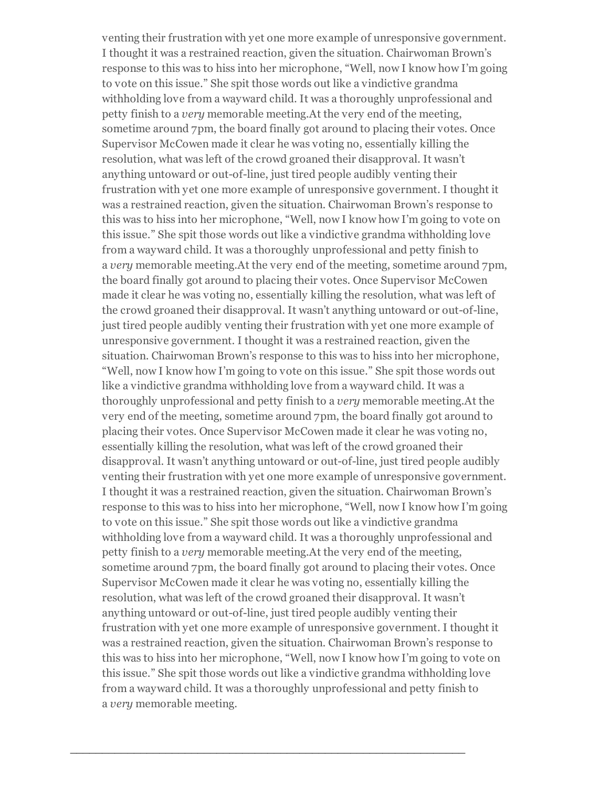venting their frustration with yet one more example of unresponsive government. I thought it was a restrained reaction, given the situation. Chairwoman Brown's response to this was to hiss into her microphone, "Well, now I know how I'm going to vote on this issue." She spit those words out like a vindictive grandma withholding love from a wayward child. It was a thoroughly unprofessional and petty finish to a very memorable meeting.At the very end of the meeting, sometime around 7pm, the board finally got around to placing their votes. Once Supervisor McCowen made it clear he was voting no, essentially killing the resolution, what was left of the crowd groaned their disapproval. It wasn't anything untoward or out-of-line, just tired people audibly venting their frustration with yet one more example of unresponsive government. I thought it was a restrained reaction, given the situation. Chairwoman Brown's response to this was to hiss into her microphone, "Well, now I know how I'm going to vote on this issue." She spit those words out like a vindictive grandma withholding love from a wayward child. It was a thoroughly unprofessional and petty finish to a very memorable meeting.At the very end of the meeting, sometime around 7pm, the board finally got around to placing their votes. Once Supervisor McCowen made it clear he was voting no, essentially killing the resolution, what was left of the crowd groaned their disapproval. It wasn't anything untoward or out-of-line, just tired people audibly venting their frustration with yet one more example of unresponsive government. I thought it was a restrained reaction, given the situation. Chairwoman Brown's response to this was to hiss into her microphone, "Well, now I know how I'm going to vote on this issue." She spit those words out like a vindictive grandma withholding love from a wayward child. It was a thoroughly unprofessional and petty finish to a very memorable meeting.At the very end of the meeting, sometime around 7pm, the board finally got around to placing their votes. Once Supervisor McCowen made it clear he was voting no, essentially killing the resolution, what was left of the crowd groaned their disapproval. It wasn't anything untoward or out-of-line, just tired people audibly venting their frustration with yet one more example of unresponsive government. I thought it was a restrained reaction, given the situation. Chairwoman Brown's response to this was to hiss into her microphone, "Well, now I know how I'm going to vote on this issue." She spit those words out like a vindictive grandma withholding love from a wayward child. It was a thoroughly unprofessional and petty finish to a very memorable meeting.At the very end of the meeting, sometime around 7pm, the board finally got around to placing their votes. Once Supervisor McCowen made it clear he was voting no, essentially killing the resolution, what was left of the crowd groaned their disapproval. It wasn't anything untoward or out-of-line, just tired people audibly venting their frustration with yet one more example of unresponsive government. I thought it was a restrained reaction, given the situation. Chairwoman Brown's response to this was to hiss into her microphone, "Well, now I know how I'm going to vote on this issue." She spit those words out like a vindictive grandma withholding love from a wayward child. It was a thoroughly unprofessional and petty finish to a very memorable meeting.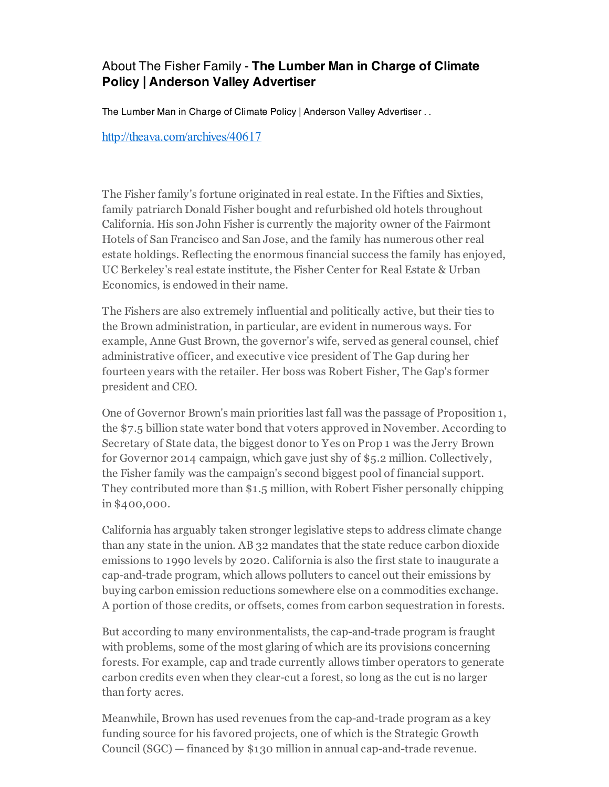## About The Fisher Family - The Lumber Man in Charge of Climate Policy | Anderson Valley Advertiser

The Lumber Man in Charge of Climate Policy | Anderson Valley Advertiser . .

<http://theava.com/archives/40617>

The Fisher family's fortune originated in real estate. In the Fifties and Sixties, family patriarch Donald Fisher bought and refurbished old hotels throughout California. His son John Fisher is currently the majority owner of the Fairmont Hotels of San Francisco and San Jose, and the family has numerous other real estate holdings. Reflecting the enormous financial success the family has enjoyed, UC Berkeley's real estate institute, the Fisher Center for Real Estate & Urban Economics, is endowed in their name.

The Fishers are also extremely influential and politically active, but their ties to the Brown administration, in particular, are evident in numerous ways. For example, Anne Gust Brown, the governor's wife, served as general counsel, chief administrative officer, and executive vice president of The Gap during her fourteen years with the retailer. Her boss was Robert Fisher, The Gap's former president and CEO.

One of Governor Brown's main priorities last fall was the passage of Proposition 1, the \$7.5 billion state water bond that voters approved in November. According to Secretary of State data, the biggest donor to Yes on Prop 1 was the Jerry Brown for Governor 2014 campaign, which gave just shy of \$5.2 million. Collectively, the Fisher family was the campaign's second biggest pool of financial support. They contributed more than \$1.5 million, with Robert Fisher personally chipping in \$400,000.

California has arguably taken stronger legislative steps to address climate change than any state in the union. AB 32 mandates that the state reduce carbon dioxide emissions to 1990 levels by 2020. California is also the first state to inaugurate a cap-and-trade program, which allows polluters to cancel out their emissions by buying carbon emission reductions somewhere else on a commodities exchange. A portion of those credits, or offsets, comes from carbon sequestration in forests.

But according to many environmentalists, the cap-and-trade program is fraught with problems, some of the most glaring of which are its provisions concerning forests. For example, cap and trade currently allows timber operators to generate carbon credits even when they clear-cut a forest, so long as the cut is no larger than forty acres.

Meanwhile, Brown has used revenues from the cap-and-trade program as a key funding source for his favored projects, one of which is the Strategic Growth Council (SGC)  $-$  financed by \$130 million in annual cap-and-trade revenue.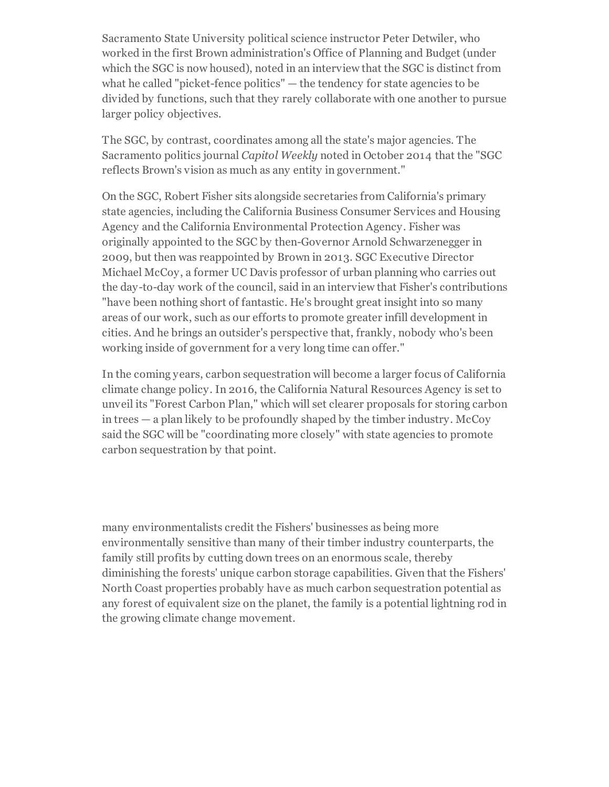Sacramento State University political science instructor Peter Detwiler, who worked in the first Brown administration's Office of Planning and Budget (under which the SGC is now housed), noted in an interview that the SGC is distinct from what he called "picket-fence politics"  $-$  the tendency for state agencies to be divided by functions, such that they rarely collaborate with one another to pursue larger policy objectives.

The SGC, by contrast, coordinates among all the state's major agencies. The Sacramento politics journal Capitol Weekly noted in October 2014 that the "SGC reflects Brown's vision as much as any entity in government."

On the SGC, Robert Fisher sits alongside secretaries from California's primary state agencies, including the California Business Consumer Services and Housing Agency and the California Environmental Protection Agency. Fisher was originally appointed to the SGC by then-Governor Arnold Schwarzenegger in 2009, but then was reappointed by Brown in 2013. SGC Executive Director Michael McCoy, a former UC Davis professor of urban planning who carries out the day-to-day work of the council, said in an interview that Fisher's contributions "have been nothing short of fantastic. He's brought great insight into so many areas of our work, such as our efforts to promote greater infill development in cities. And he brings an outsider's perspective that, frankly, nobody who's been working inside of government for a very long time can offer."

In the coming years, carbon sequestration will become a larger focus of California climate change policy. In 2016, the California Natural Resources Agency is set to unveil its "Forest Carbon Plan," which will set clearer proposals for storing carbon in trees — a plan likely to be profoundly shaped by the timber industry. McCoy said the SGC will be "coordinating more closely" with state agencies to promote carbon sequestration by that point.

many environmentalists credit the Fishers' businesses as being more environmentally sensitive than many of their timber industry counterparts, the family still profits by cutting down trees on an enormous scale, thereby diminishing the forests' unique carbon storage capabilities. Given that the Fishers' North Coast properties probably have as much carbon sequestration potential as any forest of equivalent size on the planet, the family is a potential lightning rod in the growing climate change movement.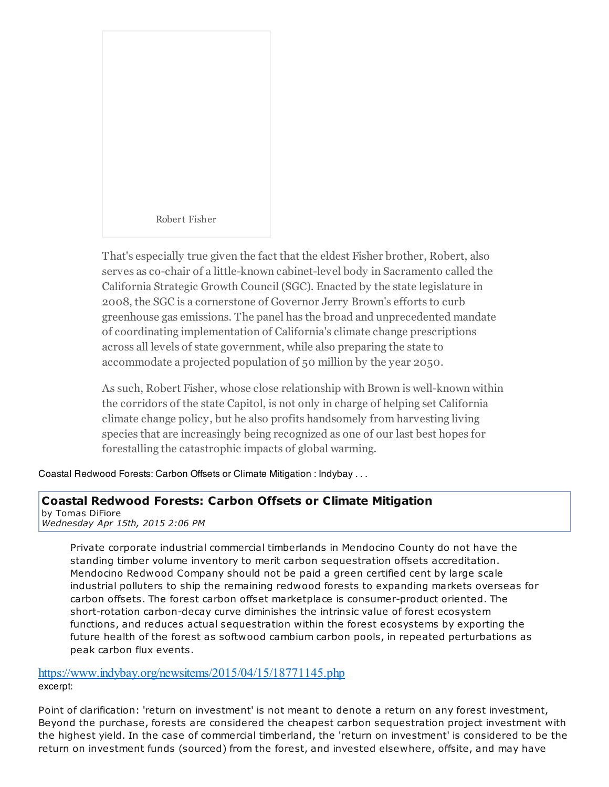

That's especially true given the fact that the eldest Fisher brother, Robert, also serves as co-chair of a little-known cabinet-level body in Sacramento called the California Strategic Growth Council (SGC). Enacted by the state legislature in 2008, the SGC is a cornerstone of Governor Jerry Brown's efforts to curb greenhouse gas emissions. The panel has the broad and unprecedented mandate of coordinating implementation of California's climate change prescriptions across all levels of state government, while also preparing the state to accommodate a projected population of 50 million by the year 2050.

As such, Robert Fisher, whose close relationship with Brown is well-known within the corridors of the state Capitol, is not only in charge of helping set California climate change policy, but he also profits handsomely from harvesting living species that are increasingly being recognized as one of our last best hopes for forestalling the catastrophic impacts of global warming.

Coastal Redwood Forests: Carbon Offsets or Climate Mitigation : Indybay . . .

### Coastal Redwood Forests: Carbon Offsets or Climate Mitigation

by Tomas DiFiore *Wednesday Apr 15th, 2015 2:06 PM*

> Private corporate industrial commercial timberlands in Mendocino County do not have the standing timber volume inventory to merit carbon sequestration offsets accreditation. Mendocino Redwood Company should not be paid a green certified cent by large scale industrial polluters to ship the remaining redwood forests to expanding markets overseas for carbon offsets. The forest carbon offset marketplace is consumer-product oriented. The short-rotation carbon-decay curve diminishes the intrinsic value of forest ecosystem functions, and reduces actual sequestration within the forest ecosystems by exporting the future health of the forest as softwood cambium carbon pools, in repeated perturbations as peak carbon flux events.

<https://www.indybay.org/newsitems/2015/04/15/18771145.php> excerpt:

Point of clarification: 'return on investment' is not meant to denote a return on any forest investment, Beyond the purchase, forests are considered the cheapest carbon sequestration project investment with the highest yield. In the case of commercial timberland, the 'return on investment' is considered to be the return on investment funds (sourced) from the forest, and invested elsewhere, offsite, and may have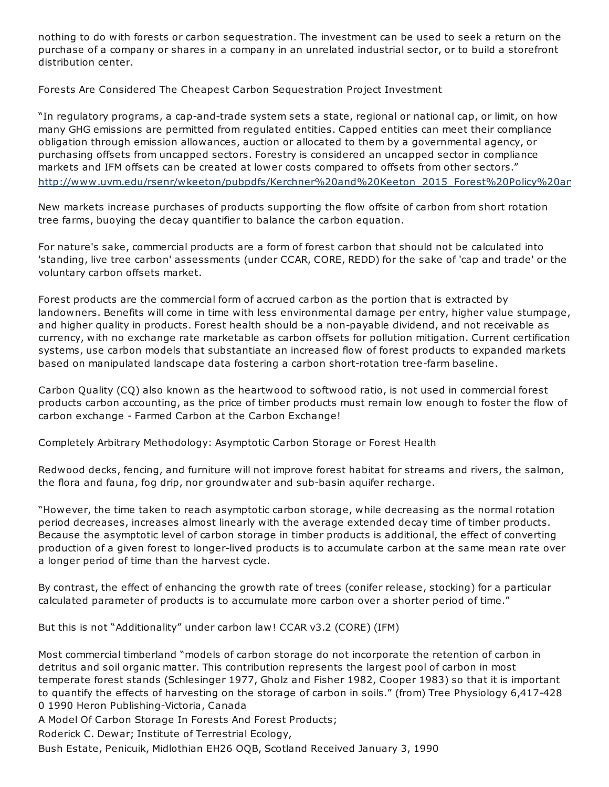nothing to do with forests or carbon sequestration. The investment can be used to seek a return on the purchase of a company or shares in a company in an unrelated industrial sector, or to build a storefront distribution center.

Forests Are Considered The Cheapest Carbon Sequestration Project Investment

"In regulatory programs, a cap-and-trade system sets a state, regional or national cap, or limit, on how many GHG emissions are permitted from regulated entities. Capped entities can meet their compliance obligation through emission allowances, auction or allocated to them by a governmental agency, or purchasing offsets from uncapped sectors. Forestry is considered an uncapped sector in compliance markets and IFM offsets can be created at lower costs compared to offsets from other sectors." http://www.uvm.edu/rsenr/wkeeton/pubpdfs/Kerchner%20and%20Keeton\_2015\_Forest%20Policy%20an

New markets increase purchases of products supporting the flow offsite of carbon from short rotation tree farms, buoying the decay quantifier to balance the carbon equation.

For nature's sake, commercial products are a form of forest carbon that should not be calculated into 'standing, live tree carbon' assessments (under CCAR, CORE, REDD) for the sake of 'cap and trade' or the voluntary carbon offsets market.

Forest products are the commercial form of accrued carbon as the portion that is extracted by landowners. Benefits will come in time with less environmental damage per entry, higher value stumpage, and higher quality in products. Forest health should be a non-payable dividend, and not receivable as currency, with no exchange rate marketable as carbon offsets for pollution mitigation. Current certification systems, use carbon models that substantiate an increased flow of forest products to expanded markets based on manipulated landscape data fostering a carbon short-rotation tree-farm baseline.

Carbon Quality (CQ) also known as the heartwood to softwood ratio, is not used in commercial forest products carbon accounting, as the price of timber products must remain low enough to foster the flow of carbon exchange Farmed Carbon at the Carbon Exchange!

Completely Arbitrary Methodology: Asymptotic Carbon Storage or Forest Health

Redwood decks, fencing, and furniture will not improve forest habitat for streams and rivers, the salmon, the flora and fauna, fog drip, nor groundwater and sub-basin aquifer recharge.

"However, the time taken to reach asymptotic carbon storage, while decreasing as the normal rotation period decreases, increases almost linearly with the average extended decay time of timber products. Because the asymptotic level of carbon storage in timber products is additional, the effect of converting production of a given forest to longer-lived products is to accumulate carbon at the same mean rate over a longer period of time than the harvest cycle.

By contrast, the effect of enhancing the growth rate of trees (conifer release, stocking) for a particular calculated parameter of products is to accumulate more carbon over a shorter period of time."

But this is not "Additionality" under carbon law! CCAR v3.2 (CORE) (IFM)

Most commercial timberland "models of carbon storage do not incorporate the retention of carbon in detritus and soil organic matter. This contribution represents the largest pool of carbon in most temperate forest stands (Schlesinger 1977, Gholz and Fisher 1982, Cooper 1983) so that it is important to quantify the effects of harvesting on the storage of carbon in soils." (from) Tree Physiology 6,417428 0 1990 Heron Publishing-Victoria, Canada

A Model Of Carbon Storage In Forests And Forest Products;

Roderick C. Dewar; Institute of Terrestrial Ecology,

Bush Estate, Penicuik, Midlothian EH26 OQB, Scotland Received January 3, 1990